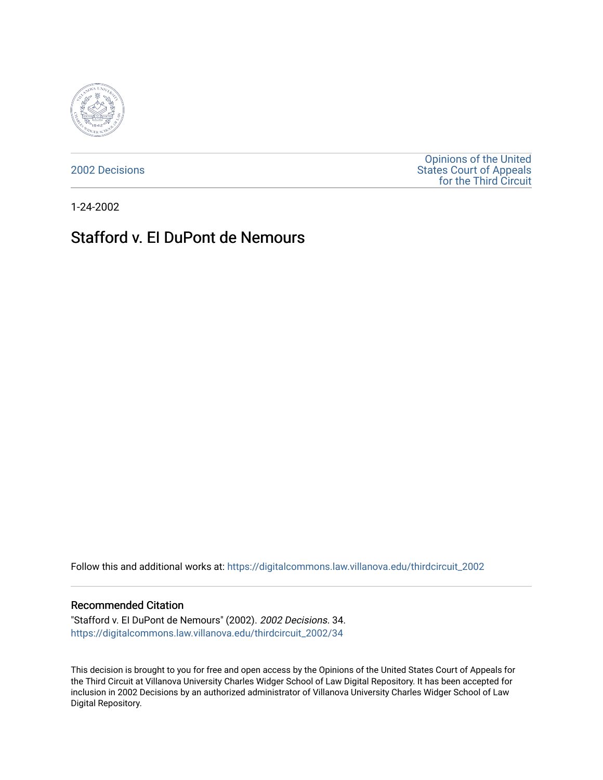

[2002 Decisions](https://digitalcommons.law.villanova.edu/thirdcircuit_2002)

[Opinions of the United](https://digitalcommons.law.villanova.edu/thirdcircuit)  [States Court of Appeals](https://digitalcommons.law.villanova.edu/thirdcircuit)  [for the Third Circuit](https://digitalcommons.law.villanova.edu/thirdcircuit) 

1-24-2002

## Stafford v. EI DuPont de Nemours

Follow this and additional works at: [https://digitalcommons.law.villanova.edu/thirdcircuit\\_2002](https://digitalcommons.law.villanova.edu/thirdcircuit_2002?utm_source=digitalcommons.law.villanova.edu%2Fthirdcircuit_2002%2F34&utm_medium=PDF&utm_campaign=PDFCoverPages) 

## Recommended Citation

"Stafford v. EI DuPont de Nemours" (2002). 2002 Decisions. 34. [https://digitalcommons.law.villanova.edu/thirdcircuit\\_2002/34](https://digitalcommons.law.villanova.edu/thirdcircuit_2002/34?utm_source=digitalcommons.law.villanova.edu%2Fthirdcircuit_2002%2F34&utm_medium=PDF&utm_campaign=PDFCoverPages)

This decision is brought to you for free and open access by the Opinions of the United States Court of Appeals for the Third Circuit at Villanova University Charles Widger School of Law Digital Repository. It has been accepted for inclusion in 2002 Decisions by an authorized administrator of Villanova University Charles Widger School of Law Digital Repository.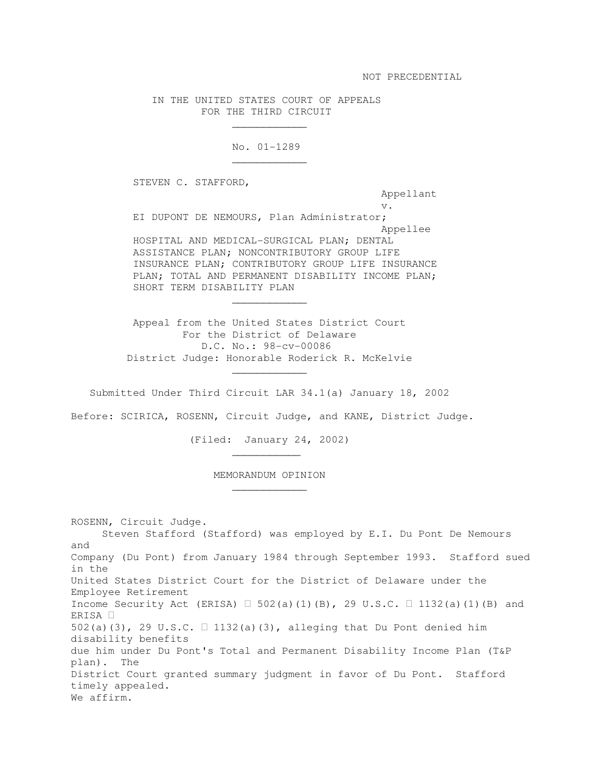## IN THE UNITED STATES COURT OF APPEALS FOR THE THIRD CIRCUIT

No. 01-1289

STEVEN C. STAFFORD,

 $\overline{\phantom{a}}$  , and the contract of the contract of the contract of the contract of the contract of the contract of the contract of the contract of the contract of the contract of the contract of the contract of the contrac

 $\mathcal{L}_\text{max}$  and  $\mathcal{L}_\text{max}$  and  $\mathcal{L}_\text{max}$  and  $\mathcal{L}_\text{max}$ 

 $\mathcal{L}_\text{max}$  and  $\mathcal{L}_\text{max}$  and  $\mathcal{L}_\text{max}$  and  $\mathcal{L}_\text{max}$ 

 $\overline{\phantom{a}}$  , and the contract of the contract of the contract of the contract of the contract of the contract of the contract of the contract of the contract of the contract of the contract of the contract of the contrac

 $\overline{\phantom{a}}$  , and the contract of the contract of the contract of the contract of the contract of the contract of the contract of the contract of the contract of the contract of the contract of the contract of the contrac

 $\overline{\phantom{a}}$  , and the contract of the contract of the contract of the contract of the contract of the contract of the contract of the contract of the contract of the contract of the contract of the contract of the contrac

Appellant

 v. EI DUPONT DE NEMOURS, Plan Administrator; Appellee HOSPITAL AND MEDICAL-SURGICAL PLAN; DENTAL ASSISTANCE PLAN; NONCONTRIBUTORY GROUP LIFE INSURANCE PLAN; CONTRIBUTORY GROUP LIFE INSURANCE PLAN; TOTAL AND PERMANENT DISABILITY INCOME PLAN; SHORT TERM DISABILITY PLAN

> Appeal from the United States District Court For the District of Delaware D.C. No.: 98-cv-00086 District Judge: Honorable Roderick R. McKelvie

Submitted Under Third Circuit LAR 34.1(a) January 18, 2002

Before: SCIRICA, ROSENN, Circuit Judge, and KANE, District Judge.

(Filed: January 24, 2002)

MEMORANDUM OPINION

ROSENN, Circuit Judge. Steven Stafford (Stafford) was employed by E.I. Du Pont De Nemours and Company (Du Pont) from January 1984 through September 1993. Stafford sued in the United States District Court for the District of Delaware under the Employee Retirement Income Security Act (ERISA) 502(a)(1)(B), 29 U.S.C. 1132(a)(1)(B) and ERISA 502(a)(3), 29 U.S.C. 1132(a)(3), alleging that Du Pont denied him disability benefits due him under Du Pont's Total and Permanent Disability Income Plan (T&P plan). The District Court granted summary judgment in favor of Du Pont. Stafford timely appealed. We affirm.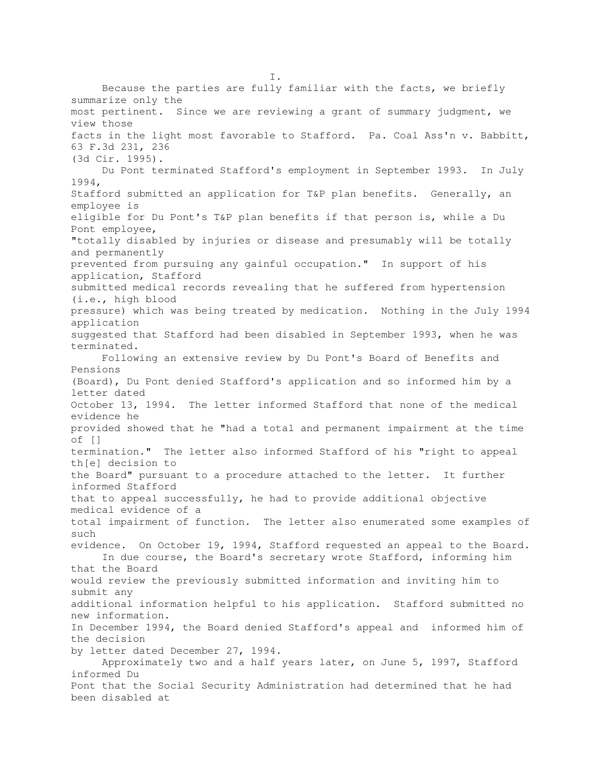I. Because the parties are fully familiar with the facts, we briefly summarize only the most pertinent. Since we are reviewing a grant of summary judgment, we view those facts in the light most favorable to Stafford. Pa. Coal Ass'n v. Babbitt, 63 F.3d 231, 236 (3d Cir. 1995). Du Pont terminated Stafford's employment in September 1993. In July 1994, Stafford submitted an application for T&P plan benefits. Generally, an employee is eligible for Du Pont's T&P plan benefits if that person is, while a Du Pont employee, "totally disabled by injuries or disease and presumably will be totally and permanently prevented from pursuing any gainful occupation." In support of his application, Stafford submitted medical records revealing that he suffered from hypertension (i.e., high blood pressure) which was being treated by medication. Nothing in the July 1994 application suggested that Stafford had been disabled in September 1993, when he was terminated. Following an extensive review by Du Pont's Board of Benefits and Pensions (Board), Du Pont denied Stafford's application and so informed him by a letter dated October 13, 1994. The letter informed Stafford that none of the medical evidence he provided showed that he "had a total and permanent impairment at the time of [] termination." The letter also informed Stafford of his "right to appeal th[e] decision to the Board" pursuant to a procedure attached to the letter. It further informed Stafford that to appeal successfully, he had to provide additional objective medical evidence of a total impairment of function. The letter also enumerated some examples of such evidence. On October 19, 1994, Stafford requested an appeal to the Board. In due course, the Board's secretary wrote Stafford, informing him that the Board would review the previously submitted information and inviting him to submit any additional information helpful to his application. Stafford submitted no new information. In December 1994, the Board denied Stafford's appeal and informed him of the decision by letter dated December 27, 1994. Approximately two and a half years later, on June 5, 1997, Stafford informed Du Pont that the Social Security Administration had determined that he had been disabled at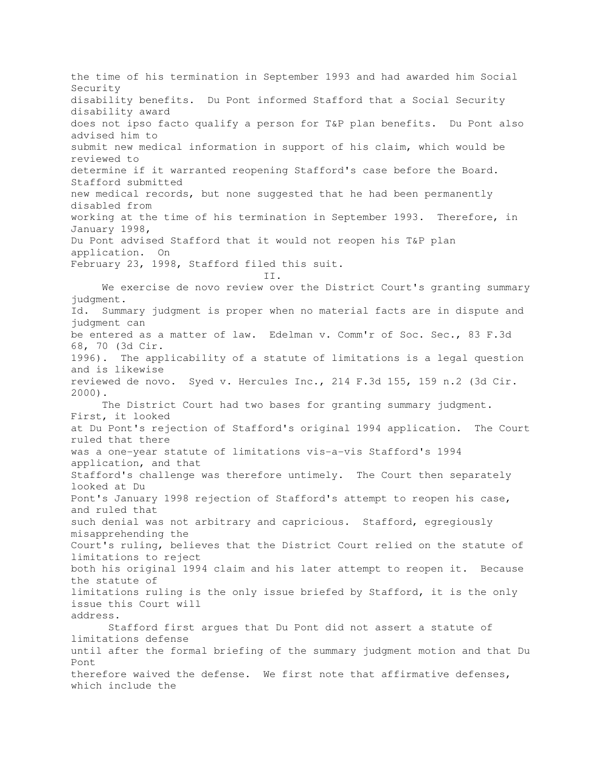the time of his termination in September 1993 and had awarded him Social Security disability benefits. Du Pont informed Stafford that a Social Security disability award does not ipso facto qualify a person for T&P plan benefits. Du Pont also advised him to submit new medical information in support of his claim, which would be reviewed to determine if it warranted reopening Stafford's case before the Board. Stafford submitted new medical records, but none suggested that he had been permanently disabled from working at the time of his termination in September 1993. Therefore, in January 1998, Du Pont advised Stafford that it would not reopen his T&P plan application. On February 23, 1998, Stafford filed this suit. II. We exercise de novo review over the District Court's granting summary judgment. Id. Summary judgment is proper when no material facts are in dispute and judgment can be entered as a matter of law. Edelman v. Comm'r of Soc. Sec., 83 F.3d 68, 70 (3d Cir. 1996). The applicability of a statute of limitations is a legal question and is likewise reviewed de novo. Syed v. Hercules Inc., 214 F.3d 155, 159 n.2 (3d Cir. 2000). The District Court had two bases for granting summary judgment. First, it looked at Du Pont's rejection of Stafford's original 1994 application. The Court ruled that there was a one-year statute of limitations vis-a-vis Stafford's 1994 application, and that Stafford's challenge was therefore untimely. The Court then separately looked at Du Pont's January 1998 rejection of Stafford's attempt to reopen his case, and ruled that such denial was not arbitrary and capricious. Stafford, egregiously misapprehending the Court's ruling, believes that the District Court relied on the statute of limitations to reject both his original 1994 claim and his later attempt to reopen it. Because the statute of limitations ruling is the only issue briefed by Stafford, it is the only issue this Court will address. Stafford first argues that Du Pont did not assert a statute of limitations defense until after the formal briefing of the summary judgment motion and that Du Pont therefore waived the defense. We first note that affirmative defenses, which include the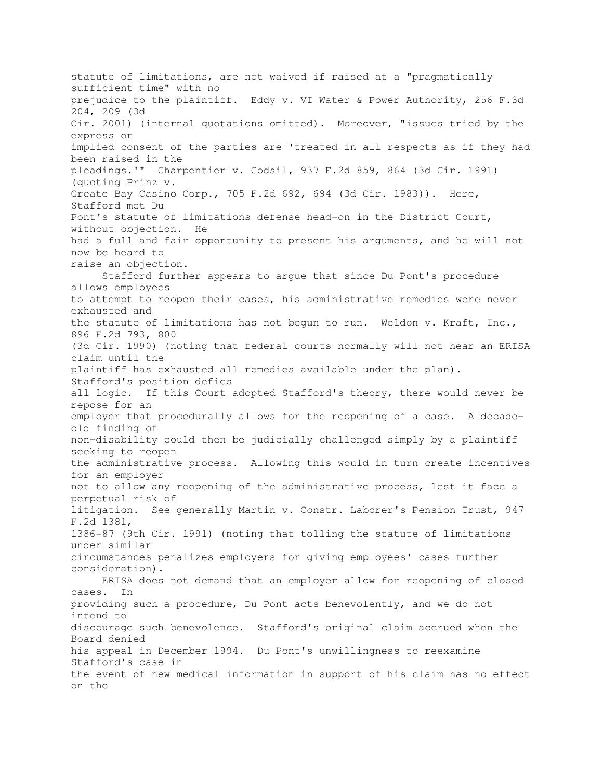statute of limitations, are not waived if raised at a "pragmatically sufficient time" with no prejudice to the plaintiff. Eddy v. VI Water & Power Authority, 256 F.3d 204, 209 (3d Cir. 2001) (internal quotations omitted). Moreover, "issues tried by the express or implied consent of the parties are 'treated in all respects as if they had been raised in the pleadings.'" Charpentier v. Godsil, 937 F.2d 859, 864 (3d Cir. 1991) (quoting Prinz v. Greate Bay Casino Corp., 705 F.2d 692, 694 (3d Cir. 1983)). Here, Stafford met Du Pont's statute of limitations defense head-on in the District Court, without objection. He had a full and fair opportunity to present his arguments, and he will not now be heard to raise an objection. Stafford further appears to argue that since Du Pont's procedure allows employees to attempt to reopen their cases, his administrative remedies were never exhausted and the statute of limitations has not begun to run. Weldon v. Kraft, Inc., 896 F.2d 793, 800 (3d Cir. 1990) (noting that federal courts normally will not hear an ERISA claim until the plaintiff has exhausted all remedies available under the plan). Stafford's position defies all logic. If this Court adopted Stafford's theory, there would never be repose for an employer that procedurally allows for the reopening of a case. A decadeold finding of non-disability could then be judicially challenged simply by a plaintiff seeking to reopen the administrative process. Allowing this would in turn create incentives for an employer not to allow any reopening of the administrative process, lest it face a perpetual risk of litigation. See generally Martin v. Constr. Laborer's Pension Trust, 947 F.2d 1381, 1386-87 (9th Cir. 1991) (noting that tolling the statute of limitations under similar circumstances penalizes employers for giving employees' cases further consideration). ERISA does not demand that an employer allow for reopening of closed cases. In providing such a procedure, Du Pont acts benevolently, and we do not intend to discourage such benevolence. Stafford's original claim accrued when the Board denied his appeal in December 1994. Du Pont's unwillingness to reexamine Stafford's case in the event of new medical information in support of his claim has no effect on the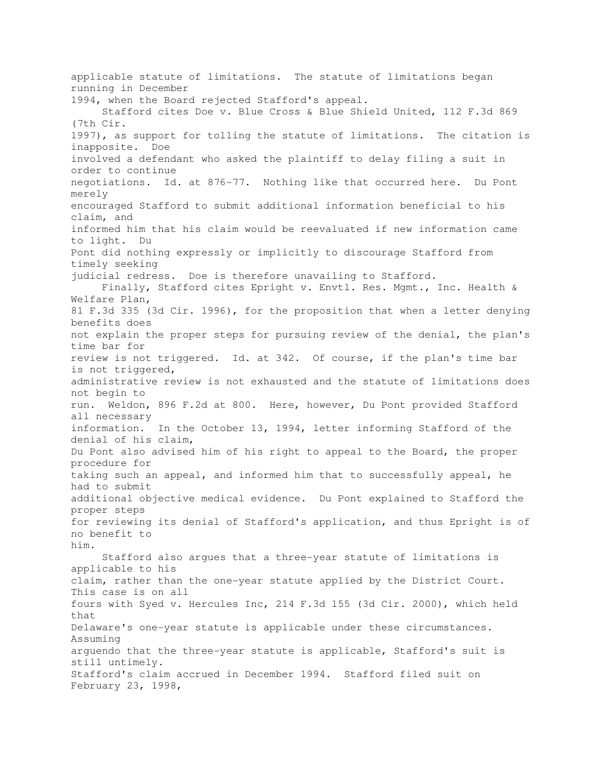applicable statute of limitations. The statute of limitations began running in December 1994, when the Board rejected Stafford's appeal. Stafford cites Doe v. Blue Cross & Blue Shield United, 112 F.3d 869 (7th Cir. 1997), as support for tolling the statute of limitations. The citation is inapposite. Doe involved a defendant who asked the plaintiff to delay filing a suit in order to continue negotiations. Id. at 876-77. Nothing like that occurred here. Du Pont merely encouraged Stafford to submit additional information beneficial to his claim, and informed him that his claim would be reevaluated if new information came to light. Du Pont did nothing expressly or implicitly to discourage Stafford from timely seeking judicial redress. Doe is therefore unavailing to Stafford. Finally, Stafford cites Epright v. Envtl. Res. Mgmt., Inc. Health & Welfare Plan, 81 F.3d 335 (3d Cir. 1996), for the proposition that when a letter denying benefits does not explain the proper steps for pursuing review of the denial, the plan's time bar for review is not triggered. Id. at 342. Of course, if the plan's time bar is not triggered, administrative review is not exhausted and the statute of limitations does not begin to run. Weldon, 896 F.2d at 800. Here, however, Du Pont provided Stafford all necessary information. In the October 13, 1994, letter informing Stafford of the denial of his claim, Du Pont also advised him of his right to appeal to the Board, the proper procedure for taking such an appeal, and informed him that to successfully appeal, he had to submit additional objective medical evidence. Du Pont explained to Stafford the proper steps for reviewing its denial of Stafford's application, and thus Epright is of no benefit to him. Stafford also argues that a three-year statute of limitations is applicable to his claim, rather than the one-year statute applied by the District Court. This case is on all fours with Syed v. Hercules Inc, 214 F.3d 155 (3d Cir. 2000), which held that Delaware's one-year statute is applicable under these circumstances. Assuming arguendo that the three-year statute is applicable, Stafford's suit is still untimely. Stafford's claim accrued in December 1994. Stafford filed suit on February 23, 1998,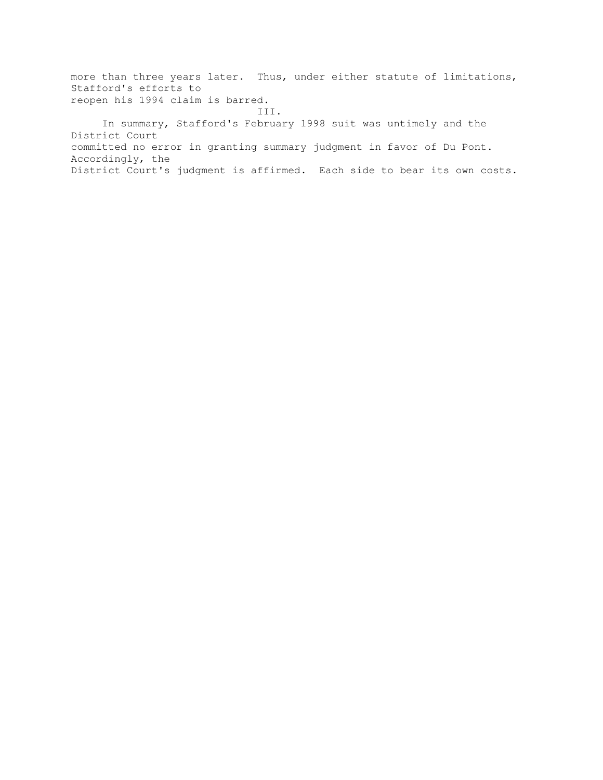more than three years later. Thus, under either statute of limitations, Stafford's efforts to reopen his 1994 claim is barred.

 III. In summary, Stafford's February 1998 suit was untimely and the District Court committed no error in granting summary judgment in favor of Du Pont. Accordingly, the District Court's judgment is affirmed. Each side to bear its own costs.